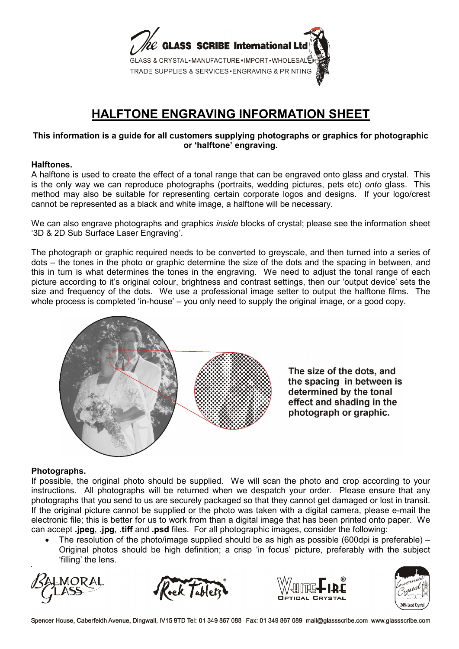

# **HALFTONE ENGRAVING INFORMATION SHEET**

### **This information is a guide for all customers supplying photographs or graphics for photographic or 'halftone' engraving.**

#### **Halftones.**

A halftone is used to create the effect of a tonal range that can be engraved onto glass and crystal. This is the only way we can reproduce photographs (portraits, wedding pictures, pets etc) *onto* glass. This method may also be suitable for representing certain corporate logos and designs. If your logo/crest cannot be represented as a black and white image, a halftone will be necessary.

We can also engrave photographs and graphics *inside* blocks of crystal; please see the information sheet '3D & 2D Sub Surface Laser Engraving'.

The photograph or graphic required needs to be converted to greyscale, and then turned into a series of dots – the tones in the photo or graphic determine the size of the dots and the spacing in between, and this in turn is what determines the tones in the engraving. We need to adjust the tonal range of each picture according to it's original colour, brightness and contrast settings, then our 'output device' sets the size and frequency of the dots. We use a professional image setter to output the halftone films. The whole process is completed 'in-house' – you only need to supply the original image, or a good copy.



The size of the dots, and the spacing in between is determined by the tonal effect and shading in the photograph or graphic.

### **Photographs.**

If possible, the original photo should be supplied. We will scan the photo and crop according to your instructions. All photographs will be returned when we despatch your order. Please ensure that any photographs that you send to us are securely packaged so that they cannot get damaged or lost in transit. If the original picture cannot be supplied or the photo was taken with a digital camera, please e-mail the electronic file; this is better for us to work from than a digital image that has been printed onto paper. We can accept **.jpeg**, **.jpg**, **.tiff** and **.psd** files. For all photographic images, consider the following:

• The resolution of the photo/image supplied should be as high as possible (600dpi is preferable) – Original photos should be high definition; a crisp 'in focus' picture, preferably with the subject 'filling' the lens.









Spencer House, Caberfeidh Avenue, Dingwall, IV15 9TD Tel: 01 349 867 088 Fax: 01 349 867 089 mail@glassscribe.com www.glassscribe.com